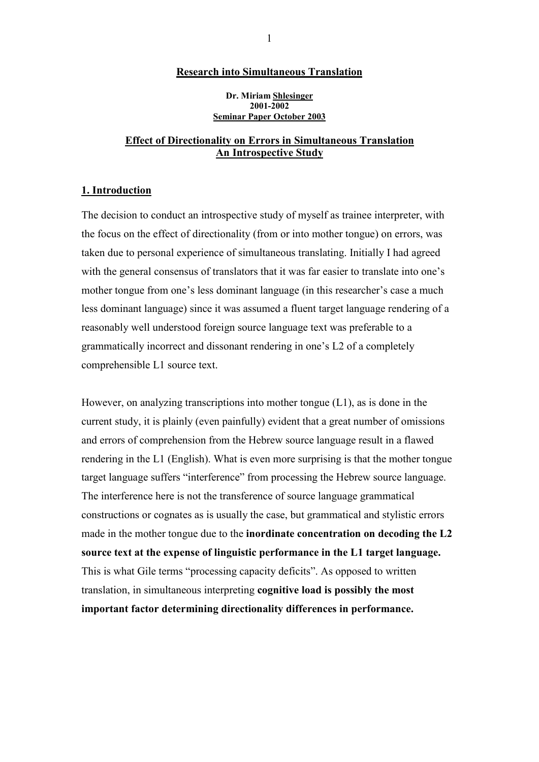### **Research into Simultaneous Translation**

**Dr. Miriam Shlesinger 2001-2002 Seminar Paper October 2003** 

### **Effect of Directionality on Errors in Simultaneous Translation An Introspective Study**

### **1. Introduction**

The decision to conduct an introspective study of myself as trainee interpreter, with the focus on the effect of directionality (from or into mother tongue) on errors, was taken due to personal experience of simultaneous translating. Initially I had agreed with the general consensus of translators that it was far easier to translate into one's mother tongue from one's less dominant language (in this researcher's case a much less dominant language) since it was assumed a fluent target language rendering of a reasonably well understood foreign source language text was preferable to a grammatically incorrect and dissonant rendering in one's L2 of a completely comprehensible L1 source text.

However, on analyzing transcriptions into mother tongue (L1), as is done in the current study, it is plainly (even painfully) evident that a great number of omissions and errors of comprehension from the Hebrew source language result in a flawed rendering in the L1 (English). What is even more surprising is that the mother tongue target language suffers "interference" from processing the Hebrew source language. The interference here is not the transference of source language grammatical constructions or cognates as is usually the case, but grammatical and stylistic errors made in the mother tongue due to the **inordinate concentration on decoding the L2 source text at the expense of linguistic performance in the L1 target language.**  This is what Gile terms "processing capacity deficits". As opposed to written translation, in simultaneous interpreting **cognitive load is possibly the most important factor determining directionality differences in performance.**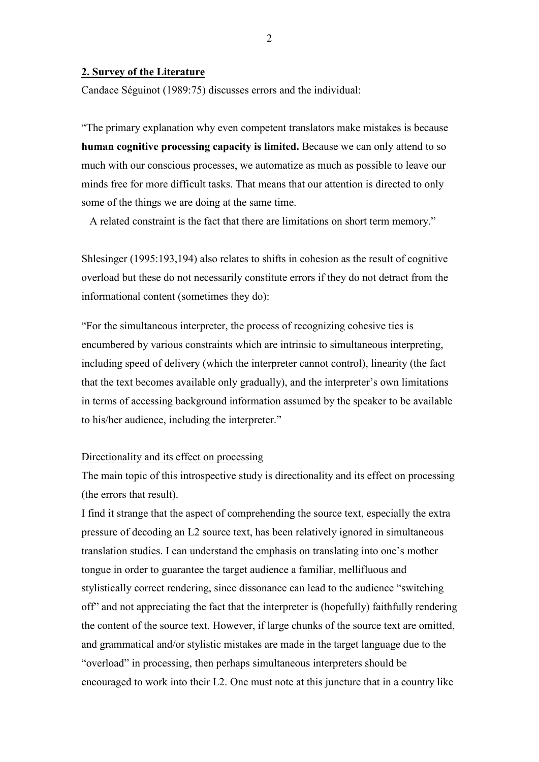### **2. Survey of the Literature**

Candace Séguinot (1989:75) discusses errors and the individual:

"The primary explanation why even competent translators make mistakes is because **human cognitive processing capacity is limited.** Because we can only attend to so much with our conscious processes, we automatize as much as possible to leave our minds free for more difficult tasks. That means that our attention is directed to only some of the things we are doing at the same time.

A related constraint is the fact that there are limitations on short term memory."

Shlesinger (1995:193,194) also relates to shifts in cohesion as the result of cognitive overload but these do not necessarily constitute errors if they do not detract from the informational content (sometimes they do):

"For the simultaneous interpreter, the process of recognizing cohesive ties is encumbered by various constraints which are intrinsic to simultaneous interpreting, including speed of delivery (which the interpreter cannot control), linearity (the fact that the text becomes available only gradually), and the interpreter's own limitations in terms of accessing background information assumed by the speaker to be available to his/her audience, including the interpreter."

### Directionality and its effect on processing

The main topic of this introspective study is directionality and its effect on processing (the errors that result).

I find it strange that the aspect of comprehending the source text, especially the extra pressure of decoding an L2 source text, has been relatively ignored in simultaneous translation studies. I can understand the emphasis on translating into one's mother tongue in order to guarantee the target audience a familiar, mellifluous and stylistically correct rendering, since dissonance can lead to the audience "switching off" and not appreciating the fact that the interpreter is (hopefully) faithfully rendering the content of the source text. However, if large chunks of the source text are omitted, and grammatical and/or stylistic mistakes are made in the target language due to the "overload" in processing, then perhaps simultaneous interpreters should be encouraged to work into their L2. One must note at this juncture that in a country like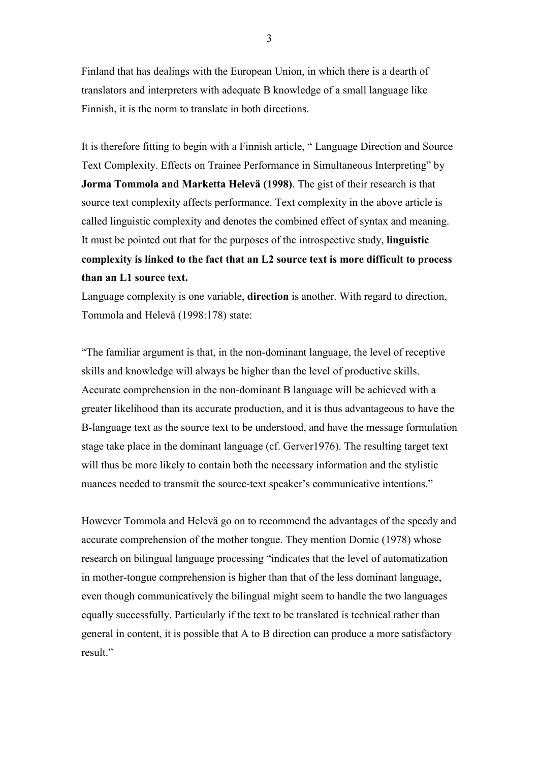Finland that has dealings with the European Union, in which there is a dearth of translators and interpreters with adequate B knowledge of a small language like Finnish, it is the norm to translate in both directions.

It is therefore fitting to begin with a Finnish article, " Language Direction and Source Text Complexity. Effects on Trainee Performance in Simultaneous Interpreting" by **Jorma Tommola and Marketta Helevä (1998)**. The gist of their research is that source text complexity affects performance. Text complexity in the above article is called linguistic complexity and denotes the combined effect of syntax and meaning. It must be pointed out that for the purposes of the introspective study, **linguistic complexity is linked to the fact that an L2 source text is more difficult to process than an L1 source text.** 

Language complexity is one variable, **direction** is another. With regard to direction, Tommola and Helevä (1998:178) state:

"The familiar argument is that, in the non-dominant language, the level of receptive skills and knowledge will always be higher than the level of productive skills. Accurate comprehension in the non-dominant B language will be achieved with a greater likelihood than its accurate production, and it is thus advantageous to have the B-language text as the source text to be understood, and have the message formulation stage take place in the dominant language (cf. Gerver1976). The resulting target text will thus be more likely to contain both the necessary information and the stylistic nuances needed to transmit the source-text speaker's communicative intentions."

However Tommola and Helevä go on to recommend the advantages of the speedy and accurate comprehension of the mother tongue. They mention Dornic (1978) whose research on bilingual language processing "indicates that the level of automatization in mother-tongue comprehension is higher than that of the less dominant language, even though communicatively the bilingual might seem to handle the two languages equally successfully. Particularly if the text to be translated is technical rather than general in content, it is possible that A to B direction can produce a more satisfactory result."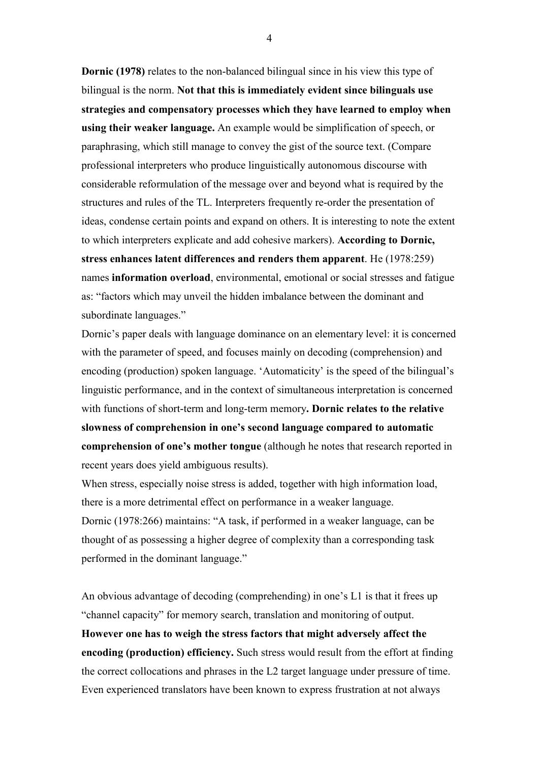**Dornic (1978)** relates to the non-balanced bilingual since in his view this type of bilingual is the norm. **Not that this is immediately evident since bilinguals use strategies and compensatory processes which they have learned to employ when using their weaker language.** An example would be simplification of speech, or paraphrasing, which still manage to convey the gist of the source text. (Compare professional interpreters who produce linguistically autonomous discourse with considerable reformulation of the message over and beyond what is required by the structures and rules of the TL. Interpreters frequently re-order the presentation of ideas, condense certain points and expand on others. It is interesting to note the extent to which interpreters explicate and add cohesive markers). **According to Dornic, stress enhances latent differences and renders them apparent**. He (1978:259) names **information overload**, environmental, emotional or social stresses and fatigue as: "factors which may unveil the hidden imbalance between the dominant and subordinate languages."

Dornic's paper deals with language dominance on an elementary level: it is concerned with the parameter of speed, and focuses mainly on decoding (comprehension) and encoding (production) spoken language. 'Automaticity' is the speed of the bilingual's linguistic performance, and in the context of simultaneous interpretation is concerned with functions of short-term and long-term memory**. Dornic relates to the relative slowness of comprehension in one's second language compared to automatic comprehension of one's mother tongue** (although he notes that research reported in recent years does yield ambiguous results).

When stress, especially noise stress is added, together with high information load, there is a more detrimental effect on performance in a weaker language. Dornic (1978:266) maintains: "A task, if performed in a weaker language, can be thought of as possessing a higher degree of complexity than a corresponding task performed in the dominant language."

An obvious advantage of decoding (comprehending) in one's L1 is that it frees up "channel capacity" for memory search, translation and monitoring of output. **However one has to weigh the stress factors that might adversely affect the encoding (production) efficiency.** Such stress would result from the effort at finding the correct collocations and phrases in the L2 target language under pressure of time. Even experienced translators have been known to express frustration at not always

4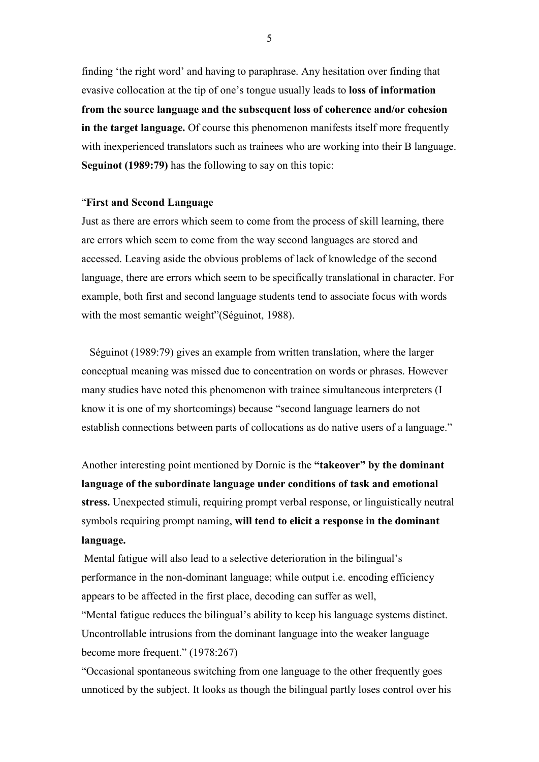finding 'the right word' and having to paraphrase. Any hesitation over finding that evasive collocation at the tip of one's tongue usually leads to **loss of information from the source language and the subsequent loss of coherence and/or cohesion in the target language.** Of course this phenomenon manifests itself more frequently with inexperienced translators such as trainees who are working into their B language. **Seguinot (1989:79)** has the following to say on this topic:

### "**First and Second Language**

Just as there are errors which seem to come from the process of skill learning, there are errors which seem to come from the way second languages are stored and accessed. Leaving aside the obvious problems of lack of knowledge of the second language, there are errors which seem to be specifically translational in character. For example, both first and second language students tend to associate focus with words with the most semantic weight"(Séguinot, 1988).

 Séguinot (1989:79) gives an example from written translation, where the larger conceptual meaning was missed due to concentration on words or phrases. However many studies have noted this phenomenon with trainee simultaneous interpreters (I know it is one of my shortcomings) because "second language learners do not establish connections between parts of collocations as do native users of a language."

Another interesting point mentioned by Dornic is the **"takeover" by the dominant language of the subordinate language under conditions of task and emotional stress.** Unexpected stimuli, requiring prompt verbal response, or linguistically neutral symbols requiring prompt naming, **will tend to elicit a response in the dominant language.** 

 Mental fatigue will also lead to a selective deterioration in the bilingual's performance in the non-dominant language; while output i.e. encoding efficiency appears to be affected in the first place, decoding can suffer as well, "Mental fatigue reduces the bilingual's ability to keep his language systems distinct.

Uncontrollable intrusions from the dominant language into the weaker language become more frequent." (1978:267)

"Occasional spontaneous switching from one language to the other frequently goes unnoticed by the subject. It looks as though the bilingual partly loses control over his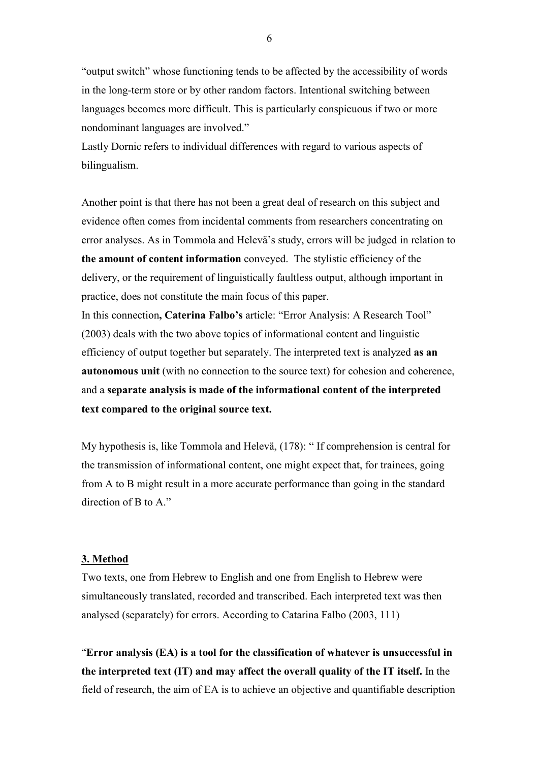"output switch" whose functioning tends to be affected by the accessibility of words in the long-term store or by other random factors. Intentional switching between languages becomes more difficult. This is particularly conspicuous if two or more nondominant languages are involved."

Lastly Dornic refers to individual differences with regard to various aspects of bilingualism.

Another point is that there has not been a great deal of research on this subject and evidence often comes from incidental comments from researchers concentrating on error analyses. As in Tommola and Helevä's study, errors will be judged in relation to **the amount of content information** conveyed. The stylistic efficiency of the delivery, or the requirement of linguistically faultless output, although important in practice, does not constitute the main focus of this paper.

In this connection**, Caterina Falbo's** article: "Error Analysis: A Research Tool" (2003) deals with the two above topics of informational content and linguistic efficiency of output together but separately. The interpreted text is analyzed **as an autonomous unit** (with no connection to the source text) for cohesion and coherence, and a **separate analysis is made of the informational content of the interpreted text compared to the original source text.** 

My hypothesis is, like Tommola and Helevä, (178): " If comprehension is central for the transmission of informational content, one might expect that, for trainees, going from A to B might result in a more accurate performance than going in the standard direction of B to A."

### **3. Method**

Two texts, one from Hebrew to English and one from English to Hebrew were simultaneously translated, recorded and transcribed. Each interpreted text was then analysed (separately) for errors. According to Catarina Falbo (2003, 111)

"**Error analysis (EA) is a tool for the classification of whatever is unsuccessful in the interpreted text (IT) and may affect the overall quality of the IT itself.** In the field of research, the aim of EA is to achieve an objective and quantifiable description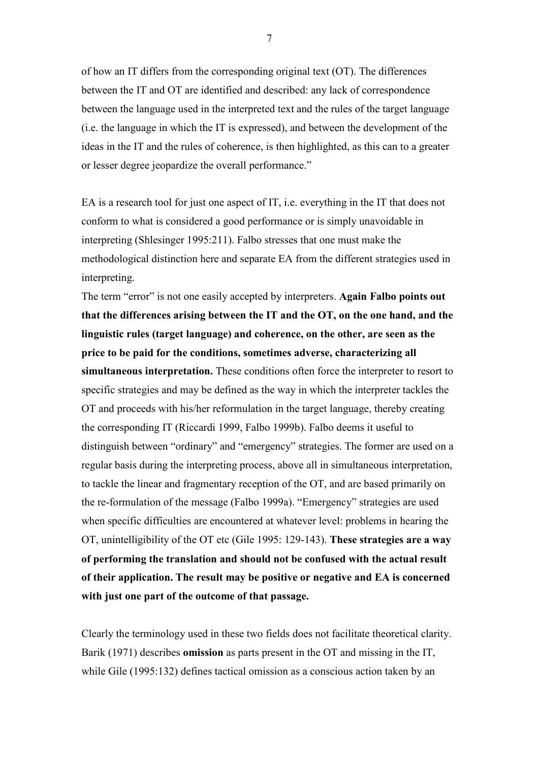of how an IT differs from the corresponding original text (OT). The differences between the IT and OT are identified and described: any lack of correspondence between the language used in the interpreted text and the rules of the target language (i.e. the language in which the IT is expressed), and between the development of the ideas in the IT and the rules of coherence, is then highlighted, as this can to a greater or lesser degree jeopardize the overall performance."

EA is a research tool for just one aspect of IT, i.e. everything in the IT that does not conform to what is considered a good performance or is simply unavoidable in interpreting (Shlesinger 1995:211). Falbo stresses that one must make the methodological distinction here and separate EA from the different strategies used in interpreting.

The term "error" is not one easily accepted by interpreters. **Again Falbo points out that the differences arising between the IT and the OT, on the one hand, and the linguistic rules (target language) and coherence, on the other, are seen as the price to be paid for the conditions, sometimes adverse, characterizing all simultaneous interpretation.** These conditions often force the interpreter to resort to specific strategies and may be defined as the way in which the interpreter tackles the OT and proceeds with his/her reformulation in the target language, thereby creating the corresponding IT (Riccardi 1999, Falbo 1999b). Falbo deems it useful to distinguish between "ordinary" and "emergency" strategies. The former are used on a regular basis during the interpreting process, above all in simultaneous interpretation, to tackle the linear and fragmentary reception of the OT, and are based primarily on the re-formulation of the message (Falbo 1999a). "Emergency" strategies are used when specific difficulties are encountered at whatever level: problems in hearing the OT, unintelligibility of the OT etc (Gile 1995: 129-143). **These strategies are a way of performing the translation and should not be confused with the actual result of their application. The result may be positive or negative and EA is concerned with just one part of the outcome of that passage.** 

Clearly the terminology used in these two fields does not facilitate theoretical clarity. Barik (1971) describes **omission** as parts present in the OT and missing in the IT, while Gile (1995:132) defines tactical omission as a conscious action taken by an

7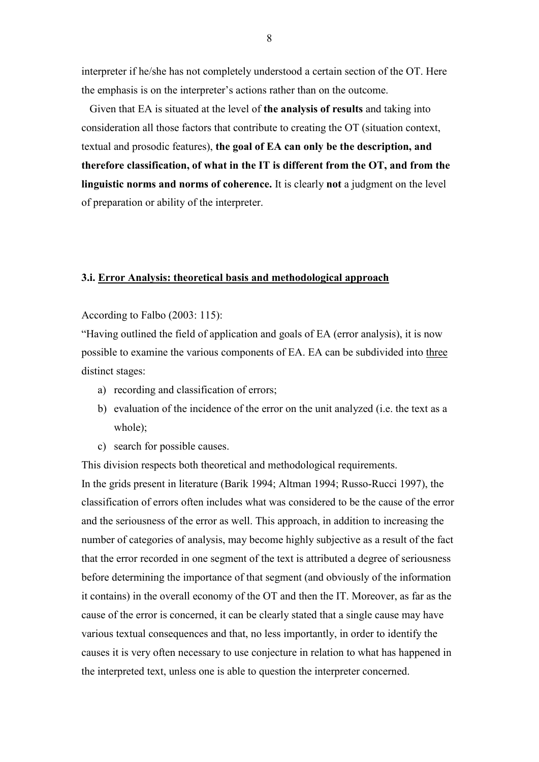interpreter if he/she has not completely understood a certain section of the OT. Here the emphasis is on the interpreter's actions rather than on the outcome.

 Given that EA is situated at the level of **the analysis of results** and taking into consideration all those factors that contribute to creating the OT (situation context, textual and prosodic features), **the goal of EA can only be the description, and therefore classification, of what in the IT is different from the OT, and from the linguistic norms and norms of coherence.** It is clearly **not** a judgment on the level of preparation or ability of the interpreter.

#### **3.i. Error Analysis: theoretical basis and methodological approach**

According to Falbo (2003: 115):

"Having outlined the field of application and goals of EA (error analysis), it is now possible to examine the various components of EA. EA can be subdivided into three distinct stages:

- a) recording and classification of errors;
- b) evaluation of the incidence of the error on the unit analyzed (i.e. the text as a whole);
- c) search for possible causes.

This division respects both theoretical and methodological requirements.

In the grids present in literature (Barik 1994; Altman 1994; Russo-Rucci 1997), the classification of errors often includes what was considered to be the cause of the error and the seriousness of the error as well. This approach, in addition to increasing the number of categories of analysis, may become highly subjective as a result of the fact that the error recorded in one segment of the text is attributed a degree of seriousness before determining the importance of that segment (and obviously of the information it contains) in the overall economy of the OT and then the IT. Moreover, as far as the cause of the error is concerned, it can be clearly stated that a single cause may have various textual consequences and that, no less importantly, in order to identify the causes it is very often necessary to use conjecture in relation to what has happened in the interpreted text, unless one is able to question the interpreter concerned.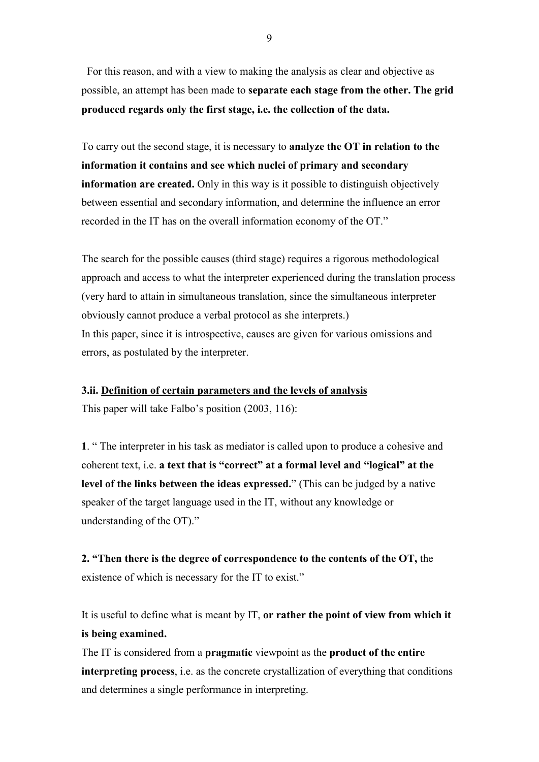For this reason, and with a view to making the analysis as clear and objective as possible, an attempt has been made to **separate each stage from the other. The grid produced regards only the first stage, i.e. the collection of the data.** 

To carry out the second stage, it is necessary to **analyze the OT in relation to the information it contains and see which nuclei of primary and secondary information are created.** Only in this way is it possible to distinguish objectively between essential and secondary information, and determine the influence an error recorded in the IT has on the overall information economy of the OT."

The search for the possible causes (third stage) requires a rigorous methodological approach and access to what the interpreter experienced during the translation process (very hard to attain in simultaneous translation, since the simultaneous interpreter obviously cannot produce a verbal protocol as she interprets.) In this paper, since it is introspective, causes are given for various omissions and errors, as postulated by the interpreter.

### **3.ii. Definition of certain parameters and the levels of analysis**

This paper will take Falbo's position (2003, 116):

**1**. " The interpreter in his task as mediator is called upon to produce a cohesive and coherent text, i.e. **a text that is "correct" at a formal level and "logical" at the level of the links between the ideas expressed.**" (This can be judged by a native speaker of the target language used in the IT, without any knowledge or understanding of the OT)."

**2. "Then there is the degree of correspondence to the contents of the OT,** the existence of which is necessary for the IT to exist."

It is useful to define what is meant by IT, **or rather the point of view from which it is being examined.** 

The IT is considered from a **pragmatic** viewpoint as the **product of the entire interpreting process**, i.e. as the concrete crystallization of everything that conditions and determines a single performance in interpreting.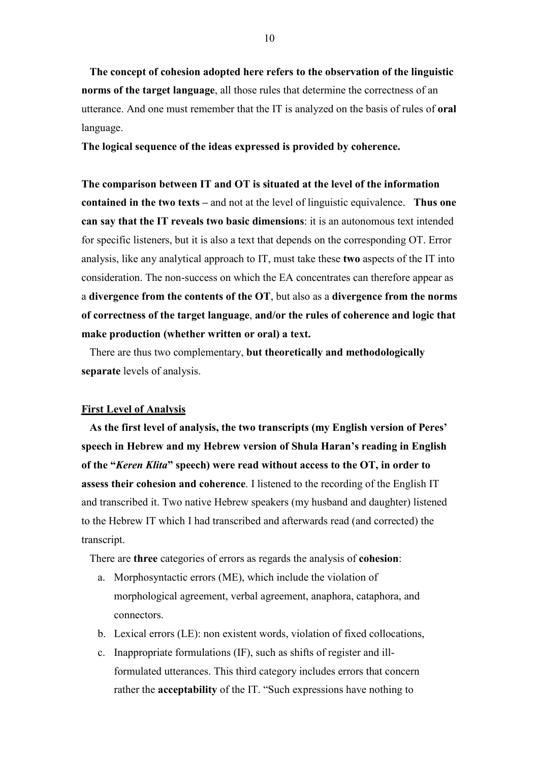**The concept of cohesion adopted here refers to the observation of the linguistic norms of the target language**, all those rules that determine the correctness of an utterance. And one must remember that the IT is analyzed on the basis of rules of **oral**  language.

**The logical sequence of the ideas expressed is provided by coherence.** 

**The comparison between IT and OT is situated at the level of the information contained in the two texts –** and not at the level of linguistic equivalence. **Thus one can say that the IT reveals two basic dimensions**: it is an autonomous text intended for specific listeners, but it is also a text that depends on the corresponding OT. Error analysis, like any analytical approach to IT, must take these **two** aspects of the IT into consideration. The non-success on which the EA concentrates can therefore appear as a **divergence from the contents of the OT**, but also as a **divergence from the norms of correctness of the target language**, **and/or the rules of coherence and logic that make production (whether written or oral) a text.** 

 There are thus two complementary, **but theoretically and methodologically separate** levels of analysis.

### **First Level of Analysis**

 **As the first level of analysis, the two transcripts (my English version of Peres' speech in Hebrew and my Hebrew version of Shula Haran's reading in English of the "***Keren Klita***" speech) were read without access to the OT, in order to assess their cohesion and coherence**. I listened to the recording of the English IT and transcribed it. Two native Hebrew speakers (my husband and daughter) listened to the Hebrew IT which I had transcribed and afterwards read (and corrected) the transcript.

There are **three** categories of errors as regards the analysis of **cohesion**:

- a. Morphosyntactic errors (ME), which include the violation of morphological agreement, verbal agreement, anaphora, cataphora, and connectors.
- b. Lexical errors (LE): non existent words, violation of fixed collocations,
- c. Inappropriate formulations (IF), such as shifts of register and illformulated utterances. This third category includes errors that concern rather the **acceptability** of the IT. "Such expressions have nothing to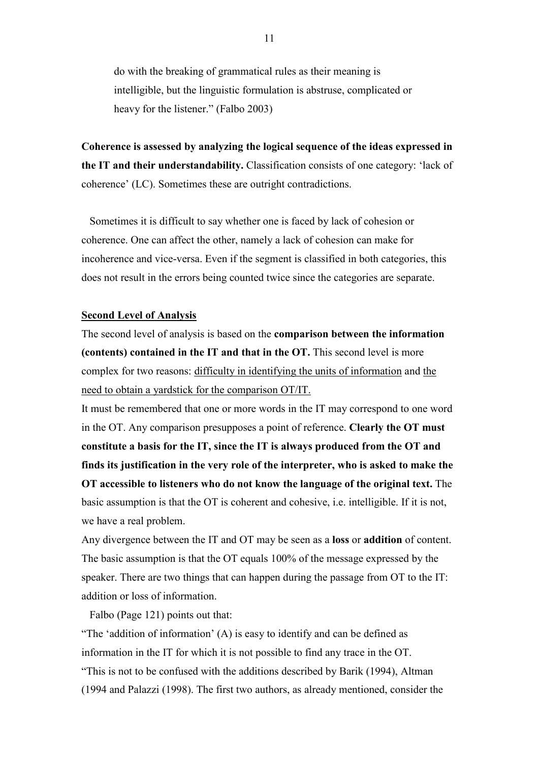do with the breaking of grammatical rules as their meaning is intelligible, but the linguistic formulation is abstruse, complicated or heavy for the listener." (Falbo 2003)

**Coherence is assessed by analyzing the logical sequence of the ideas expressed in the IT and their understandability.** Classification consists of one category: 'lack of coherence' (LC). Sometimes these are outright contradictions.

 Sometimes it is difficult to say whether one is faced by lack of cohesion or coherence. One can affect the other, namely a lack of cohesion can make for incoherence and vice-versa. Even if the segment is classified in both categories, this does not result in the errors being counted twice since the categories are separate.

### **Second Level of Analysis**

The second level of analysis is based on the **comparison between the information (contents) contained in the IT and that in the OT.** This second level is more complex for two reasons: difficulty in identifying the units of information and the need to obtain a yardstick for the comparison OT/IT.

It must be remembered that one or more words in the IT may correspond to one word in the OT. Any comparison presupposes a point of reference. **Clearly the OT must constitute a basis for the IT, since the IT is always produced from the OT and finds its justification in the very role of the interpreter, who is asked to make the OT accessible to listeners who do not know the language of the original text.** The basic assumption is that the OT is coherent and cohesive, i.e. intelligible. If it is not, we have a real problem.

Any divergence between the IT and OT may be seen as a **loss** or **addition** of content. The basic assumption is that the OT equals 100% of the message expressed by the speaker. There are two things that can happen during the passage from OT to the IT: addition or loss of information.

Falbo (Page 121) points out that:

"The 'addition of information' (A) is easy to identify and can be defined as information in the IT for which it is not possible to find any trace in the OT. "This is not to be confused with the additions described by Barik (1994), Altman (1994 and Palazzi (1998). The first two authors, as already mentioned, consider the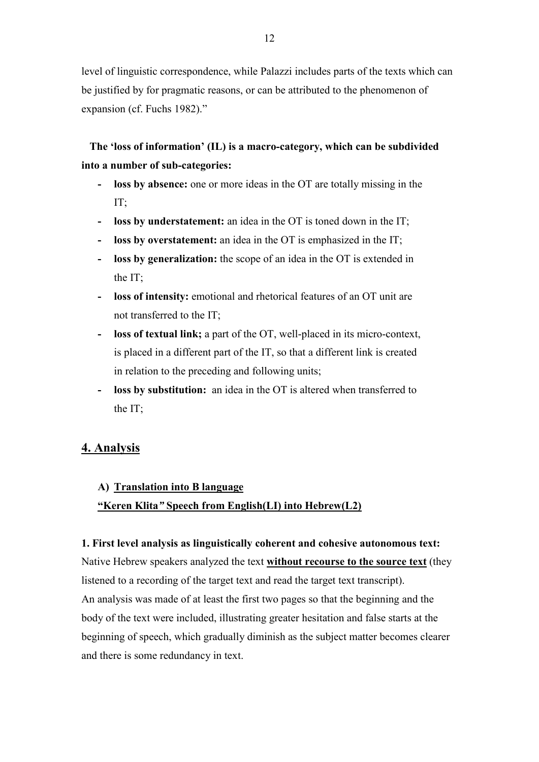level of linguistic correspondence, while Palazzi includes parts of the texts which can be justified by for pragmatic reasons, or can be attributed to the phenomenon of expansion (cf. Fuchs 1982)."

# **The 'loss of information' (IL) is a macro-category, which can be subdivided into a number of sub-categories:**

- **- loss by absence:** one or more ideas in the OT are totally missing in the IT;
- **loss by understatement:** an idea in the OT is toned down in the IT;
- **- loss by overstatement:** an idea in the OT is emphasized in the IT;
- **- loss by generalization:** the scope of an idea in the OT is extended in the IT;
- **- loss of intensity:** emotional and rhetorical features of an OT unit are not transferred to the IT;
- **- loss of textual link;** a part of the OT, well-placed in its micro-context, is placed in a different part of the IT, so that a different link is created in relation to the preceding and following units;
- **- loss by substitution:** an idea in the OT is altered when transferred to the IT;

## **4. Analysis**

## **A) Translation into B language**

## **"Keren Klita***"* **Speech from English(LI) into Hebrew(L2)**

### **1. First level analysis as linguistically coherent and cohesive autonomous text:**

Native Hebrew speakers analyzed the text **without recourse to the source text** (they listened to a recording of the target text and read the target text transcript). An analysis was made of at least the first two pages so that the beginning and the body of the text were included, illustrating greater hesitation and false starts at the beginning of speech, which gradually diminish as the subject matter becomes clearer and there is some redundancy in text.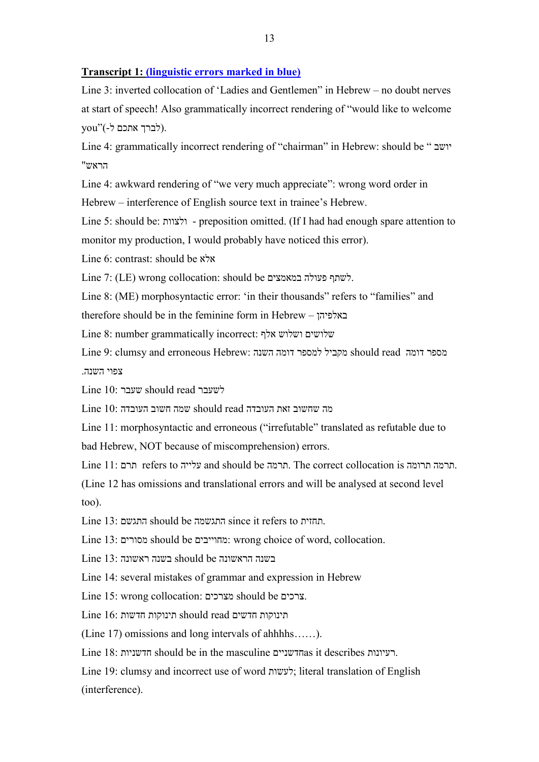### **Transcript 1: (linguistic errors marked in blue)**

Line 3: inverted collocation of 'Ladies and Gentlemen" in Hebrew – no doubt nerves at start of speech! Also grammatically incorrect rendering of "would like to welcome  $you$ "(- אתכם ל).

Line 4: grammatically incorrect rendering of "chairman" in Hebrew: should be " יושב הראש"

Line 4: awkward rendering of "we very much appreciate": wrong word order in

Hebrew – interference of English source text in trainee's Hebrew.

Line 5: should be: ולצוות - preposition omitted. (If I had had enough spare attention to monitor my production, I would probably have noticed this error).

Line 6: contrast: should be אלא

Line 7: (LE) wrong collocation: should be במאמצים פעולה לשתף.

Line 8: (ME) morphosyntactic error: 'in their thousands" refers to "families" and therefore should be in the feminine form in Hebrew – באלפיהן

Line 8: number grammatically incorrect: אלף ושלוש שלושים

Line 9: clumsy and erroneous Hebrew: מספר דומה should read מקביל למספר דומה צפוי השנה.

Line 10: שעבר should read לשעבר

מה שחשוב זאת העובדה read should שמה חשוב העובדה 10: Line

Line 11: morphosyntactic and erroneous ("irrefutable" translated as refutable due to

bad Hebrew, NOT because of miscomprehension) errors.

Line 11: תרם refers to עלייה and should be תרמה. The correct collocation is תרומה תרמה.

(Line 12 has omissions and translational errors and will be analysed at second level too).

Line 13: התגשם should be התגשמה since it refers to תחזית.

Line 13: מסורים should be מ חוייבים : wrong choice of word, collocation.

בשנה הראשונה be should בשנה ראשונה 13: Line

Line 14: several mistakes of grammar and expression in Hebrew

Line 15: wrong collocation: מצרכים should be צרכים.

Line 16: תינוקות חדשים should read תינוקות חדשות

(Line 17) omissions and long intervals of ahhhhs……).

Line 18: חדשניות should be in the masculine חדשנייםas it describes רעיונות.

Line 19: clumsy and incorrect use of word לעשות ;literal translation of English (interference).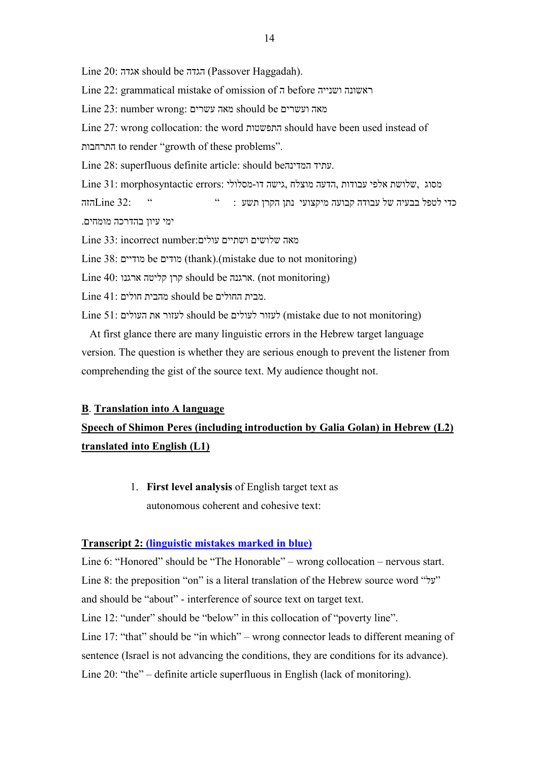Line 20: אגדה should be הגדה) Passover Haggadah).

Line 22: grammatical mistake of omission of ה before ושנייה ראשונה

Line 23: number wrong: עשרים מאה should be ועשרים מאה

Line 27: wrong collocation: the word התפשטות should have been used instead of

התרחבות to render "growth of these problems".

Line 28: superfluous definite article: should beהמדינה עתיד.

Line 31: morphosyntactic errors: מסוג השלושת הלפי עבודות הדעה מוצלח הדעה מסוג בודות ה כדי לטפל בבעיה של עבודה קבועה מיקצועי נתן הקרן תשע : "  $\text{Line } 32$ : "  $\text{Line } 32$ הזה ימי עיון בהדרכה מומחים.

מאה שלושים ושתיים עולים:number incorrect 33: Line

Line 38: מודיים be מודים) thank).(mistake due to not monitoring)

Line 40: ארגנו קליטה קרן should be ארגנה.) not monitoring)

.מבית החולים be should מהבית חולים 41: Line

Line 51: לעזור את העולים should be לעזור לעולים (mistake due to not monitoring)

 At first glance there are many linguistic errors in the Hebrew target language version. The question is whether they are serious enough to prevent the listener from comprehending the gist of the source text. My audience thought not.

### **B**. **Translation into A language**

# **Speech of Shimon Peres (including introduction by Galia Golan) in Hebrew (L2) translated into English (L1)**

1. **First level analysis** of English target text as autonomous coherent and cohesive text:

### **Transcript 2: (linguistic mistakes marked in blue)**

Line 6: "Honored" should be "The Honorable" – wrong collocation – nervous start. Line 8: the preposition "on" is a literal translation of the Hebrew source word "על" and should be "about" - interference of source text on target text. Line 12: "under" should be "below" in this collocation of "poverty line". Line 17: "that" should be "in which" – wrong connector leads to different meaning of sentence (Israel is not advancing the conditions, they are conditions for its advance). Line 20: "the" – definite article superfluous in English (lack of monitoring).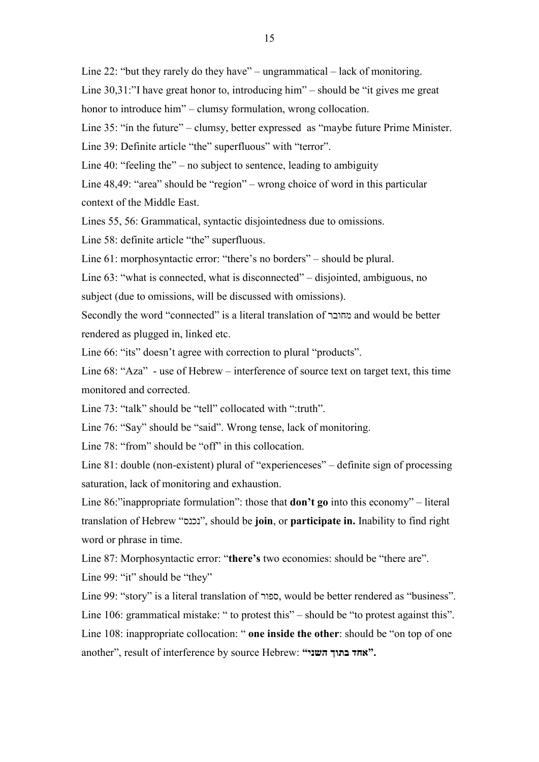Line 22: "but they rarely do they have" – ungrammatical – lack of monitoring.

Line 30,31:"I have great honor to, introducing him" – should be "it gives me great

honor to introduce him" – clumsy formulation, wrong collocation.

Line 35: "ín the future" – clumsy, better expressed as "maybe future Prime Minister.

Line 39: Definite article "the" superfluous" with "terror".

Line 40: "feeling the" – no subject to sentence, leading to ambiguity

Line 48,49: "area" should be "region" – wrong choice of word in this particular context of the Middle East.

Lines 55, 56: Grammatical, syntactic disjointedness due to omissions.

Line 58: definite article "the" superfluous.

Line 61: morphosyntactic error: "there's no borders" – should be plural.

Line 63: "what is connected, what is disconnected" – disjointed, ambiguous, no subject (due to omissions, will be discussed with omissions).

Secondly the word "connected" is a literal translation of מחובר and would be better rendered as plugged in, linked etc.

Line 66: "its" doesn't agree with correction to plural "products".

Line 68: "Aza" - use of Hebrew – interference of source text on target text, this time monitored and corrected.

Line 73: "talk" should be "tell" collocated with ":truth".

Line 76: "Say" should be "said". Wrong tense, lack of monitoring.

Line 78: "from" should be "off" in this collocation.

Line 81: double (non-existent) plural of "experienceses" – definite sign of processing saturation, lack of monitoring and exhaustion.

Line 86:"inappropriate formulation": those that **don't go** into this economy" – literal translation of Hebrew "נכנס", should be **join**, or **participate in.** Inability to find right word or phrase in time.

Line 87: Morphosyntactic error: "**there's** two economies: should be "there are".

Line 99: "it" should be "they"

Line 99: "story" is a literal translation of ספור, would be better rendered as "business".

Line 106: grammatical mistake: " to protest this" – should be "to protest against this".

Line 108: inappropriate collocation: " **one inside the other**: should be "on top of one another", result of interference by source Hebrew: **"השני בתוך אחד".**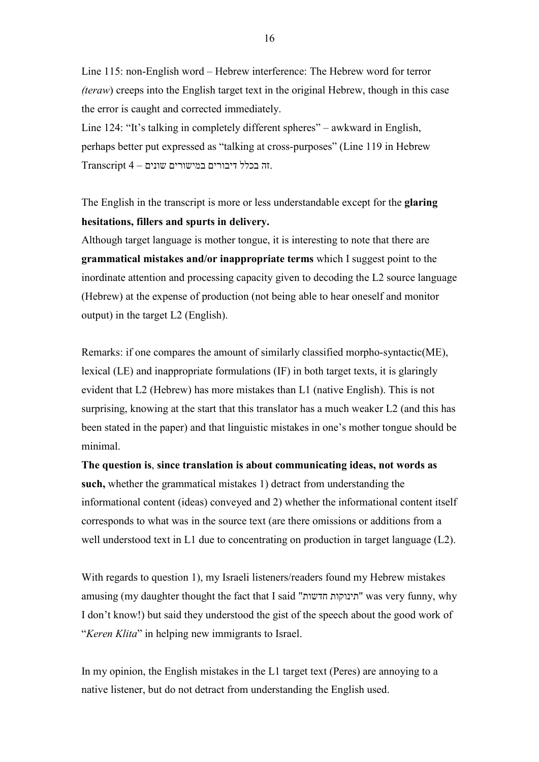Line 115: non-English word – Hebrew interference: The Hebrew word for terror *(teraw*) creeps into the English target text in the original Hebrew, though in this case the error is caught and corrected immediately.

Line 124: "It's talking in completely different spheres" – awkward in English, perhaps better put expressed as "talking at cross-purposes" (Line 119 in Hebrew .זה בכלל דיבורים במישורים שונים – 4 Transcript

The English in the transcript is more or less understandable except for the **glaring hesitations, fillers and spurts in delivery.** 

Although target language is mother tongue, it is interesting to note that there are **grammatical mistakes and/or inappropriate terms** which I suggest point to the inordinate attention and processing capacity given to decoding the L2 source language (Hebrew) at the expense of production (not being able to hear oneself and monitor output) in the target L2 (English).

Remarks: if one compares the amount of similarly classified morpho-syntactic(ME), lexical (LE) and inappropriate formulations (IF) in both target texts, it is glaringly evident that L2 (Hebrew) has more mistakes than L1 (native English). This is not surprising, knowing at the start that this translator has a much weaker L2 (and this has been stated in the paper) and that linguistic mistakes in one's mother tongue should be minimal.

**The question is**, **since translation is about communicating ideas, not words as such,** whether the grammatical mistakes 1) detract from understanding the informational content (ideas) conveyed and 2) whether the informational content itself corresponds to what was in the source text (are there omissions or additions from a well understood text in L1 due to concentrating on production in target language (L2).

With regards to question 1), my Israeli listeners/readers found my Hebrew mistakes amusing (my daughter thought the fact that I said "חדשות תינוקות "was very funny, why I don't know!) but said they understood the gist of the speech about the good work of "*Keren Klita*" in helping new immigrants to Israel.

In my opinion, the English mistakes in the L1 target text (Peres) are annoying to a native listener, but do not detract from understanding the English used.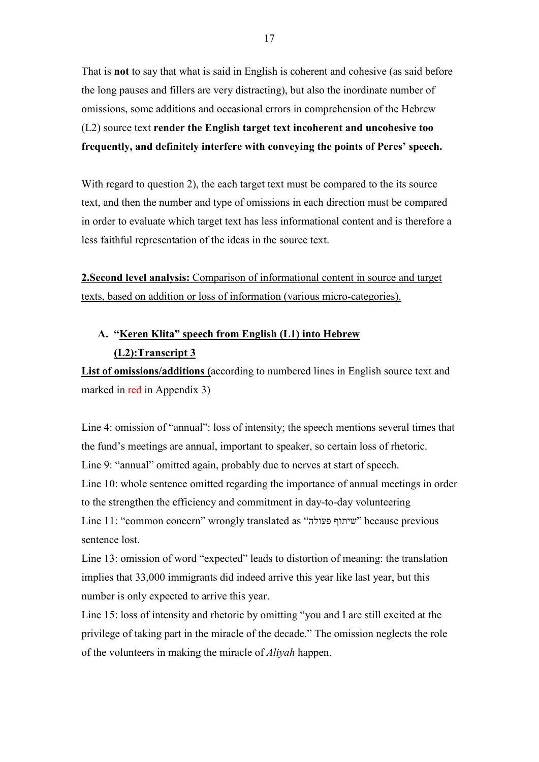That is **not** to say that what is said in English is coherent and cohesive (as said before the long pauses and fillers are very distracting), but also the inordinate number of omissions, some additions and occasional errors in comprehension of the Hebrew (L2) source text **render the English target text incoherent and uncohesive too frequently, and definitely interfere with conveying the points of Peres' speech.** 

With regard to question 2), the each target text must be compared to the its source text, and then the number and type of omissions in each direction must be compared in order to evaluate which target text has less informational content and is therefore a less faithful representation of the ideas in the source text.

**2.Second level analysis:** Comparison of informational content in source and target texts, based on addition or loss of information (various micro-categories).

# **A. "Keren Klita" speech from English (L1) into Hebrew (L2):Transcript 3**

**List of omissions/additions (**according to numbered lines in English source text and marked in red in Appendix 3)

Line 4: omission of "annual": loss of intensity; the speech mentions several times that the fund's meetings are annual, important to speaker, so certain loss of rhetoric. Line 9: "annual" omitted again, probably due to nerves at start of speech. Line 10: whole sentence omitted regarding the importance of annual meetings in order to the strengthen the efficiency and commitment in day-to-day volunteering Line 11: "common concern" wrongly translated as "פעולה שיתוף "because previous sentence lost.

Line 13: omission of word "expected" leads to distortion of meaning: the translation implies that 33,000 immigrants did indeed arrive this year like last year, but this number is only expected to arrive this year.

Line 15: loss of intensity and rhetoric by omitting "you and I are still excited at the privilege of taking part in the miracle of the decade." The omission neglects the role of the volunteers in making the miracle of *Aliyah* happen.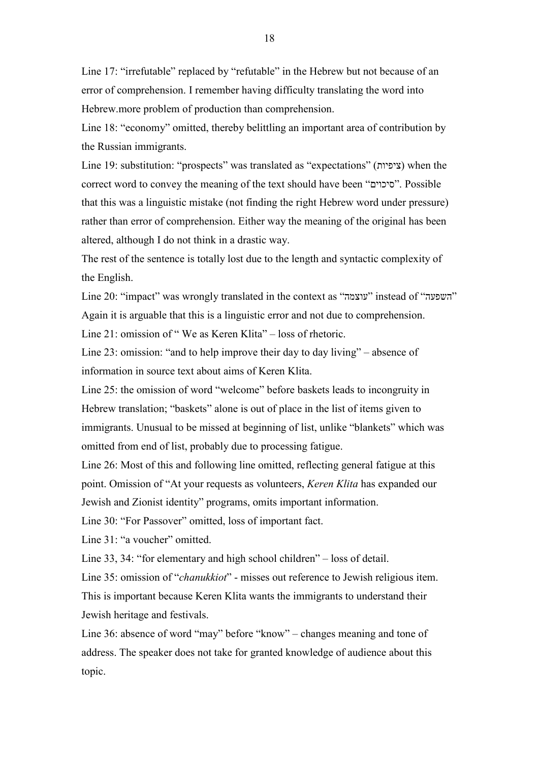Line 17: "irrefutable" replaced by "refutable" in the Hebrew but not because of an error of comprehension. I remember having difficulty translating the word into Hebrew.more problem of production than comprehension.

Line 18: "economy" omitted, thereby belittling an important area of contribution by the Russian immigrants.

Line 19: substitution: "prospects" was translated as "expectations" (ציפיות) when the correct word to convey the meaning of the text should have been "סיכוים". Possible that this was a linguistic mistake (not finding the right Hebrew word under pressure) rather than error of comprehension. Either way the meaning of the original has been altered, although I do not think in a drastic way.

The rest of the sentence is totally lost due to the length and syntactic complexity of the English.

Line 20: "impact" was wrongly translated in the context as "עוצמה "instead of "השפעה " Again it is arguable that this is a linguistic error and not due to comprehension.

Line 21: omission of " We as Keren Klita" – loss of rhetoric.

Line 23: omission: "and to help improve their day to day living" – absence of information in source text about aims of Keren Klita.

Line 25: the omission of word "welcome" before baskets leads to incongruity in Hebrew translation; "baskets" alone is out of place in the list of items given to immigrants. Unusual to be missed at beginning of list, unlike "blankets" which was omitted from end of list, probably due to processing fatigue.

Line 26: Most of this and following line omitted, reflecting general fatigue at this point. Omission of "At your requests as volunteers, *Keren Klita* has expanded our Jewish and Zionist identity" programs, omits important information.

Line 30: "For Passover" omitted, loss of important fact.

Line 31: "a voucher" omitted.

Line 33, 34: "for elementary and high school children" – loss of detail.

Line 35: omission of "*chanukkiot*" - misses out reference to Jewish religious item. This is important because Keren Klita wants the immigrants to understand their Jewish heritage and festivals.

Line 36: absence of word "may" before "know" – changes meaning and tone of address. The speaker does not take for granted knowledge of audience about this topic.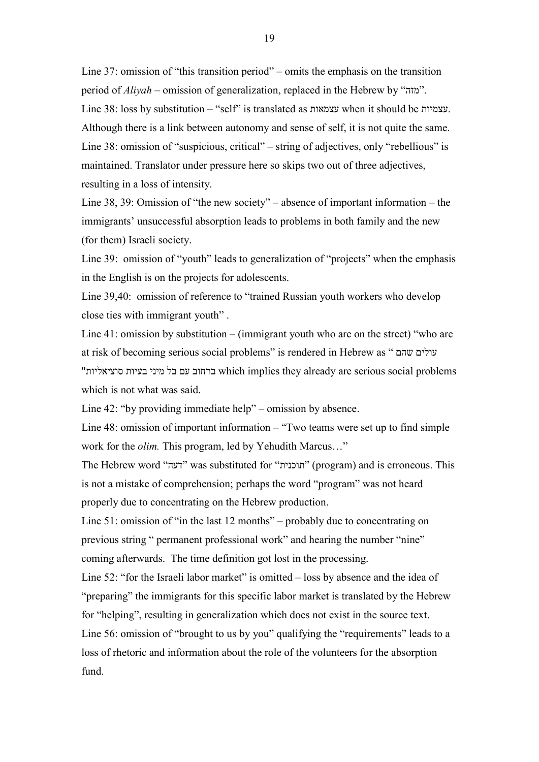Line 37: omission of "this transition period" – omits the emphasis on the transition period of *Aliyah –* omission of generalization, replaced in the Hebrew by "מזה". Line 38: loss by substitution – "self" is translated as עצמאות when it should be עצמיות. Although there is a link between autonomy and sense of self, it is not quite the same. Line 38: omission of "suspicious, critical" – string of adjectives, only "rebellious" is maintained. Translator under pressure here so skips two out of three adjectives, resulting in a loss of intensity.

Line 38, 39: Omission of "the new society" – absence of important information – the immigrants' unsuccessful absorption leads to problems in both family and the new (for them) Israeli society.

Line 39: omission of "youth" leads to generalization of "projects" when the emphasis in the English is on the projects for adolescents.

Line 39,40: omission of reference to "trained Russian youth workers who develop close ties with immigrant youth" .

Line 41: omission by substitution – (immigrant youth who are on the street) "who are at risk of becoming serious social problems" is rendered in Hebrew as " שהם עולים "יות ברחוב עם בל מיני בעיות סוציאליות which implies they already are serious social problems which is not what was said.

Line 42: "by providing immediate help" – omission by absence.

fund.

Line 48: omission of important information – "Two teams were set up to find simple work for the *olim.* This program, led by Yehudith Marcus…"

The Hebrew word "דעה" was substituted for "תוכנית" (program) and is erroneous. This is not a mistake of comprehension; perhaps the word "program" was not heard properly due to concentrating on the Hebrew production.

Line 51: omission of "in the last 12 months" – probably due to concentrating on previous string " permanent professional work" and hearing the number "nine" coming afterwards. The time definition got lost in the processing.

Line 52: "for the Israeli labor market" is omitted – loss by absence and the idea of "preparing" the immigrants for this specific labor market is translated by the Hebrew for "helping", resulting in generalization which does not exist in the source text. Line 56: omission of "brought to us by you" qualifying the "requirements" leads to a loss of rhetoric and information about the role of the volunteers for the absorption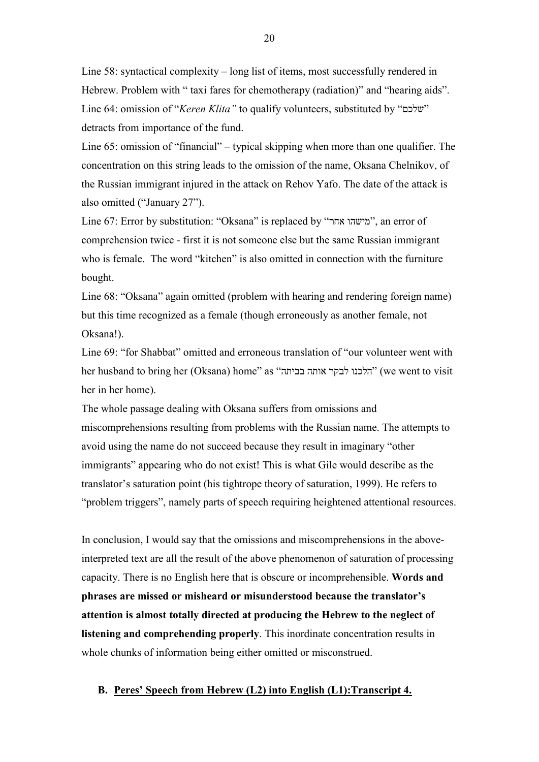Line 58: syntactical complexity – long list of items, most successfully rendered in Hebrew. Problem with " taxi fares for chemotherapy (radiation)" and "hearing aids". Line 64: omission of "*Keren Klita"* to qualify volunteers, substituted by "שלכם " detracts from importance of the fund.

Line 65: omission of "financial" – typical skipping when more than one qualifier. The concentration on this string leads to the omission of the name, Oksana Chelnikov, of the Russian immigrant injured in the attack on Rehov Yafo. The date of the attack is also omitted ("January 27").

Line 67: Error by substitution: "Oksana" is replaced by "אחר מישהו", an error of comprehension twice - first it is not someone else but the same Russian immigrant who is female. The word "kitchen" is also omitted in connection with the furniture bought.

Line 68: "Oksana" again omitted (problem with hearing and rendering foreign name) but this time recognized as a female (though erroneously as another female, not Oksana!).

Line 69: "for Shabbat" omitted and erroneous translation of "our volunteer went with her husband to bring her (Oksana) home" as "הלכנו לבקר אותה בביתה "we went to visit") (we went to visit her in her home).

The whole passage dealing with Oksana suffers from omissions and miscomprehensions resulting from problems with the Russian name. The attempts to avoid using the name do not succeed because they result in imaginary "other immigrants" appearing who do not exist! This is what Gile would describe as the translator's saturation point (his tightrope theory of saturation, 1999). He refers to "problem triggers", namely parts of speech requiring heightened attentional resources.

In conclusion, I would say that the omissions and miscomprehensions in the aboveinterpreted text are all the result of the above phenomenon of saturation of processing capacity. There is no English here that is obscure or incomprehensible. **Words and phrases are missed or misheard or misunderstood because the translator's attention is almost totally directed at producing the Hebrew to the neglect of listening and comprehending properly**. This inordinate concentration results in whole chunks of information being either omitted or misconstrued.

### **B. Peres' Speech from Hebrew (L2) into English (L1):Transcript 4.**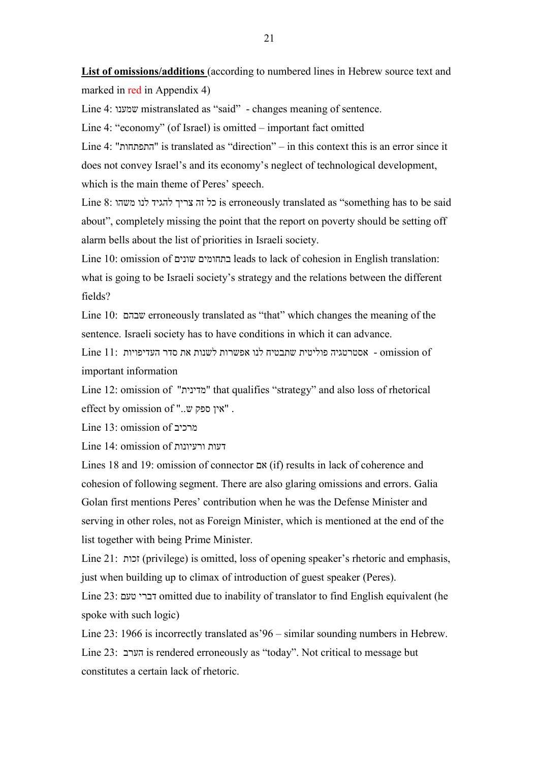**List of omissions/additions** (according to numbered lines in Hebrew source text and marked in red in Appendix 4)

Line 4: שמענו mistranslated as "said" - changes meaning of sentence.

Line 4: "economy" (of Israel) is omitted – important fact omitted

Line 4: "התפתחות "is translated as "direction" – in this context this is an error since it does not convey Israel's and its economy's neglect of technological development, which is the main theme of Peres' speech.

Line 8: משהו לנו להגיד צריך זה כל is erroneously translated as "something has to be said about", completely missing the point that the report on poverty should be setting off alarm bells about the list of priorities in Israeli society.

Line 10: omission of שונים בתחומים leads to lack of cohesion in English translation: what is going to be Israeli society's strategy and the relations between the different fields?

Line 10: שבהם erroneously translated as "that" which changes the meaning of the sentence. Israeli society has to have conditions in which it can advance.

 of omission - אסטרטגיה פוליטית שתבטיח לנו אפשרות לשנות את סדר העדיפויות 11: Line important information

Line 12: omission of "מדינית "that qualifies "strategy" and also loss of rhetorical effect by omission of "..ש ספק אין ".

Line 13: omission of מרכיב

Line 14: omission of ורעיונות דעות

Lines 18 and 19: omission of connector אם) if) results in lack of coherence and cohesion of following segment. There are also glaring omissions and errors. Galia Golan first mentions Peres' contribution when he was the Defense Minister and serving in other roles, not as Foreign Minister, which is mentioned at the end of the list together with being Prime Minister.

Line 21: זכות) privilege) is omitted, loss of opening speaker's rhetoric and emphasis, just when building up to climax of introduction of guest speaker (Peres).

Line 23: טעם דברי omitted due to inability of translator to find English equivalent (he spoke with such logic)

Line 23: 1966 is incorrectly translated as'96 – similar sounding numbers in Hebrew. Line 23: הערב is rendered erroneously as "today". Not critical to message but constitutes a certain lack of rhetoric.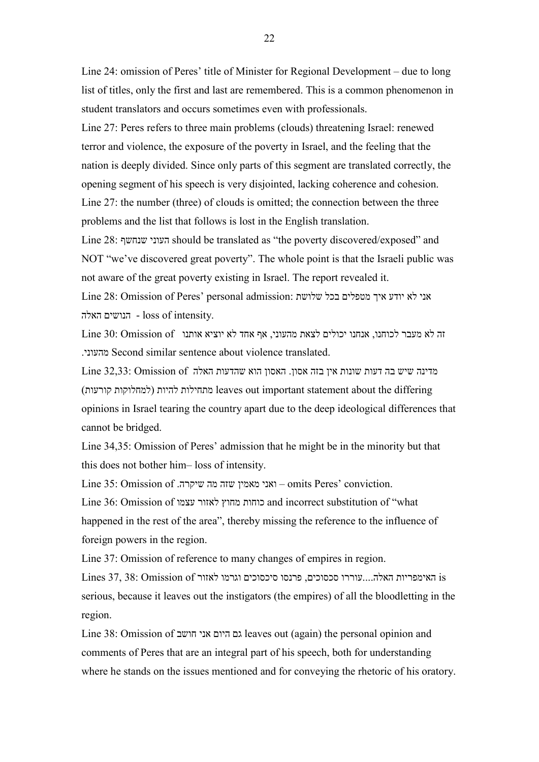Line 24: omission of Peres' title of Minister for Regional Development – due to long list of titles, only the first and last are remembered. This is a common phenomenon in student translators and occurs sometimes even with professionals.

Line 27: Peres refers to three main problems (clouds) threatening Israel: renewed terror and violence, the exposure of the poverty in Israel, and the feeling that the nation is deeply divided. Since only parts of this segment are translated correctly, the opening segment of his speech is very disjointed, lacking coherence and cohesion. Line 27: the number (three) of clouds is omitted; the connection between the three problems and the list that follows is lost in the English translation.

Line 28: שנחשף העוני should be translated as "the poverty discovered/exposed" and NOT "we've discovered great poverty". The whole point is that the Israeli public was not aware of the great poverty existing in Israel. The report revealed it.

אני לא יודע איך מטפלים בכל שלושת :admission personal' Peres of Omission 28: Line האלה הנושים - loss of intensity.

זה לא מעבר לכוחנו, אנחנו יכולים לצאת מהעוני, אף אחד לא יוציא אותנו of Omission 30: Line .מהעוני Second similar sentence about violence translated.

מדינה שיש בה דעות שונות אין בזה אסון. האסון הוא שהדעות האלה of Omission 32,33: Line (למחלוקות קורעות) leaves out important statement about the differing opinions in Israel tearing the country apart due to the deep ideological differences that cannot be bridged.

Line 34,35: Omission of Peres' admission that he might be in the minority but that this does not bother him– loss of intensity.

Line 35: Omission of .שיקרה מה שזה מאמין ואני – omits Peres' conviction.

Line 36: Omission of עצמו לאזור מחוץ כוחות and incorrect substitution of "what happened in the rest of the area", thereby missing the reference to the influence of foreign powers in the region.

Line 37: Omission of reference to many changes of empires in region.

Lines 37, 38: האימפריות האלה....עוררו סכסוכים, פרנסו סיכסוכים וגרמו לאזור Chnes 37, 38: Omission of serious, because it leaves out the instigators (the empires) of all the bloodletting in the region.

Line 38: Omission of חושב אני היום גם leaves out (again) the personal opinion and comments of Peres that are an integral part of his speech, both for understanding where he stands on the issues mentioned and for conveying the rhetoric of his oratory.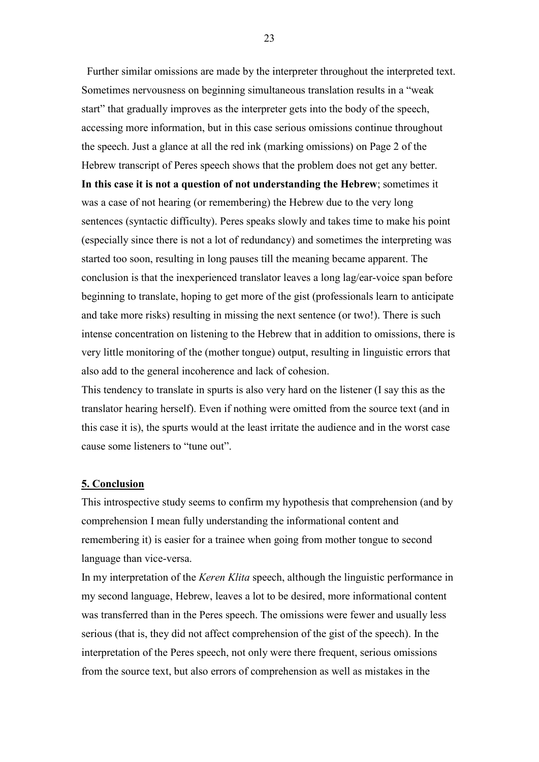Further similar omissions are made by the interpreter throughout the interpreted text. Sometimes nervousness on beginning simultaneous translation results in a "weak start" that gradually improves as the interpreter gets into the body of the speech, accessing more information, but in this case serious omissions continue throughout the speech. Just a glance at all the red ink (marking omissions) on Page 2 of the Hebrew transcript of Peres speech shows that the problem does not get any better. **In this case it is not a question of not understanding the Hebrew**; sometimes it was a case of not hearing (or remembering) the Hebrew due to the very long sentences (syntactic difficulty). Peres speaks slowly and takes time to make his point (especially since there is not a lot of redundancy) and sometimes the interpreting was started too soon, resulting in long pauses till the meaning became apparent. The conclusion is that the inexperienced translator leaves a long lag/ear-voice span before beginning to translate, hoping to get more of the gist (professionals learn to anticipate and take more risks) resulting in missing the next sentence (or two!). There is such intense concentration on listening to the Hebrew that in addition to omissions, there is very little monitoring of the (mother tongue) output, resulting in linguistic errors that also add to the general incoherence and lack of cohesion.

This tendency to translate in spurts is also very hard on the listener (I say this as the translator hearing herself). Even if nothing were omitted from the source text (and in this case it is), the spurts would at the least irritate the audience and in the worst case cause some listeners to "tune out".

### **5. Conclusion**

This introspective study seems to confirm my hypothesis that comprehension (and by comprehension I mean fully understanding the informational content and remembering it) is easier for a trainee when going from mother tongue to second language than vice-versa.

In my interpretation of the *Keren Klita* speech, although the linguistic performance in my second language, Hebrew, leaves a lot to be desired, more informational content was transferred than in the Peres speech. The omissions were fewer and usually less serious (that is, they did not affect comprehension of the gist of the speech). In the interpretation of the Peres speech, not only were there frequent, serious omissions from the source text, but also errors of comprehension as well as mistakes in the

23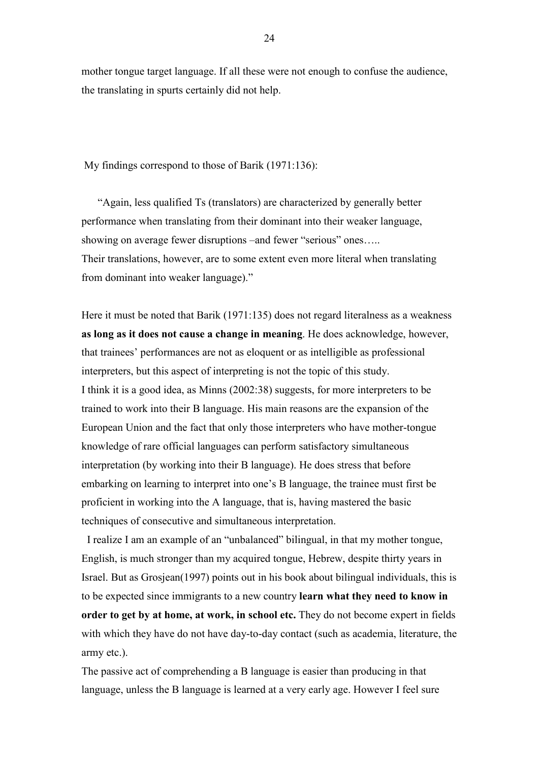mother tongue target language. If all these were not enough to confuse the audience, the translating in spurts certainly did not help.

My findings correspond to those of Barik (1971:136):

 "Again, less qualified Ts (translators) are characterized by generally better performance when translating from their dominant into their weaker language, showing on average fewer disruptions –and fewer "serious" ones….. Their translations, however, are to some extent even more literal when translating from dominant into weaker language)."

Here it must be noted that Barik (1971:135) does not regard literalness as a weakness **as long as it does not cause a change in meaning**. He does acknowledge, however, that trainees' performances are not as eloquent or as intelligible as professional interpreters, but this aspect of interpreting is not the topic of this study. I think it is a good idea, as Minns (2002:38) suggests, for more interpreters to be trained to work into their B language. His main reasons are the expansion of the European Union and the fact that only those interpreters who have mother-tongue knowledge of rare official languages can perform satisfactory simultaneous interpretation (by working into their B language). He does stress that before embarking on learning to interpret into one's B language, the trainee must first be proficient in working into the A language, that is, having mastered the basic techniques of consecutive and simultaneous interpretation.

 I realize I am an example of an "unbalanced" bilingual, in that my mother tongue, English, is much stronger than my acquired tongue, Hebrew, despite thirty years in Israel. But as Grosjean(1997) points out in his book about bilingual individuals, this is to be expected since immigrants to a new country **learn what they need to know in order to get by at home, at work, in school etc.** They do not become expert in fields with which they have do not have day-to-day contact (such as academia, literature, the army etc.).

The passive act of comprehending a B language is easier than producing in that language, unless the B language is learned at a very early age. However I feel sure